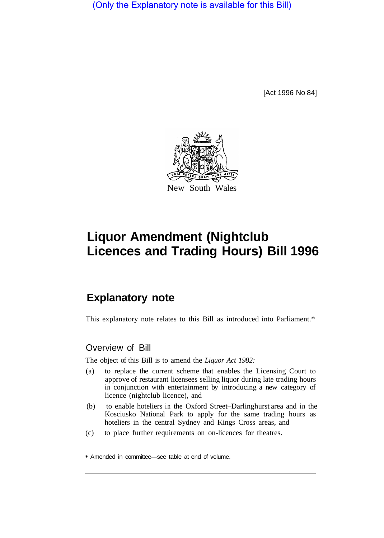(Only the Explanatory note is available for this Bill)

[Act 1996 No 84]



# **Liquor Amendment (Nightclub Licences and Trading Hours) Bill 1996**

## **Explanatory note**

This explanatory note relates to this Bill as introduced into Parliament.\*

#### Overview of Bill

The object of this Bill is to amend the *Liquor Act 1982:* 

- (a) to replace the current scheme that enables the Licensing Court to approve of restaurant licensees selling liquor during late trading hours in conjunction with entertainment by introducing a new category of licence (nightclub licence), and
- (b) to enable hoteliers in the Oxford Street–Darlinghurst area and in the Kosciusko National Park to apply for the same trading hours as hoteliers in the central Sydney and Kings Cross areas, and
- (c) to place further requirements on on-licences for theatres.

<sup>\*</sup> Amended in committee—see table at end of volume.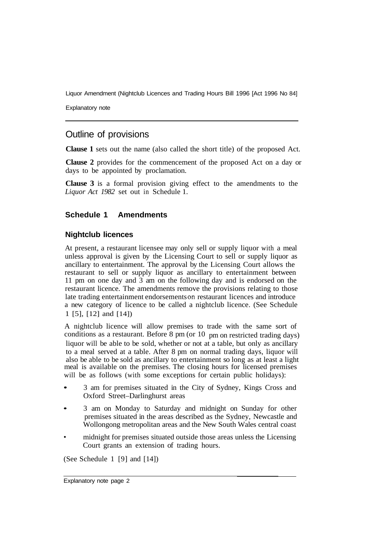Liquor Amendment (Nightclub Licences and Trading Hours Bill 1996 [Act 1996 No 84]

Explanatory note

### Outline of provisions

**Clause 1** sets out the name (also called the short title) of the proposed Act.

**Clause 2** provides for the commencement of the proposed Act on a day or days to be appointed by proclamation.

**Clause 3** is a formal provision giving effect to the amendments to the *Liquor Act 1982* set out in Schedule 1.

#### **Schedule 1 Amendments**

#### **Nightclub licences**

At present, a restaurant licensee may only sell or supply liquor with a meal unless approval is given by the Licensing Court to sell or supply liquor as ancillary to entertainment. The approval by the Licensing Court allows the restaurant to sell or supply liquor as ancillary to entertainment between 11 pm on one day and 3 am on the following day and is endorsed on the restaurant licence. The amendments remove the provisions relating to those late trading entertainment endorsements on restaurant licences and introduce a new category of licence to be called a nightclub licence. (See Schedule 1 [5], [12] and [14])

A nightclub licence will allow premises to trade with the same sort of conditions as a restaurant. Before 8 pm (or 10 pm on restricted trading days) liquor will be able to be sold, whether or not at a table, but only as ancillary to a meal served at a table. After 8 pm on normal trading days, liquor will also be able to be sold as ancillary to entertainment so long as at least a light meal is available on the premises. The closing hours for licensed premises will be as follows (with some exceptions for certain public holidays):

- 3 am for premises situated in the City of Sydney, Kings Cross and Oxford Street–Darlinghurst areas
- 3 am on Monday to Saturday and midnight on Sunday for other premises situated in the areas described as the Sydney, Newcastle and Wollongong metropolitan areas and the New South Wales central coast
- midnight for premises situated outside those areas unless the Licensing Court grants an extension of trading hours.

(See Schedule 1 [9] and [14])

Explanatory note page 2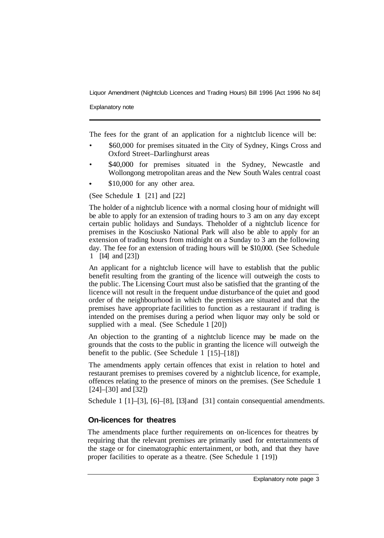Liquor Amendment (Nightclub Licences and Trading Hours) Bill 1996 [Act 1996 No 84]

Explanatory note

The fees for the grant of an application for a nightclub licence will be:

- \$60,000 for premises situated in the City of Sydney, Kings Cross and Oxford Street–Darlinghurst areas
- \$40,000 for premises situated in the Sydney, Newcastle and Wollongong metropolitan areas and the New South Wales central coast
- \$10,000 for any other area.

(See Schedule 1 [21] and [22]

The holder of a nightclub licence with a normal closing hour of midnight will be able to apply for an extension of trading hours to 3 am on any day except certain public holidays and Sundays. The holder of a nightclub licence for premises in the Kosciusko National Park will also be able to apply for an extension of trading hours from midnight on a Sunday to 3 am the following day. The fee for an extension of trading hours will be \$10,000. (See Schedule 1 [14] and [23])

An applicant for a nightclub licence will have to establish that the public benefit resulting from the granting of the licence will outweigh the costs to the public. The Licensing Court must also be satisfied that the granting of the licence will not result in the frequent undue disturbance of the quiet and good order of the neighbourhood in which the premises are situated and that the premises have appropriate facilities to function as a restaurant if trading is intended on the premises during a period when liquor may only be sold or supplied with a meal. (See Schedule 1 [20])

An objection to the granting of a nightclub licence may be made on the grounds that the costs to the public in granting the licence will outweigh the benefit to the public. (See Schedule 1 [15]–[18])

The amendments apply certain offences that exist in relation to hotel and restaurant premises to premises covered by a nightclub licence, for example, offences relating to the presence of minors on the premises. (See Schedule 1 [24]–[30] and [32])

Schedule 1 [1]–[3], [6]–[8], [13] and [31] contain consequential amendments.

#### **On-licences for theatres**

The amendments place further requirements on on-licences for theatres by requiring that the relevant premises are primarily used for entertainments of the stage or for cinematographic entertainment, or both, and that they have proper facilities to operate as a theatre. (See Schedule 1 [19])